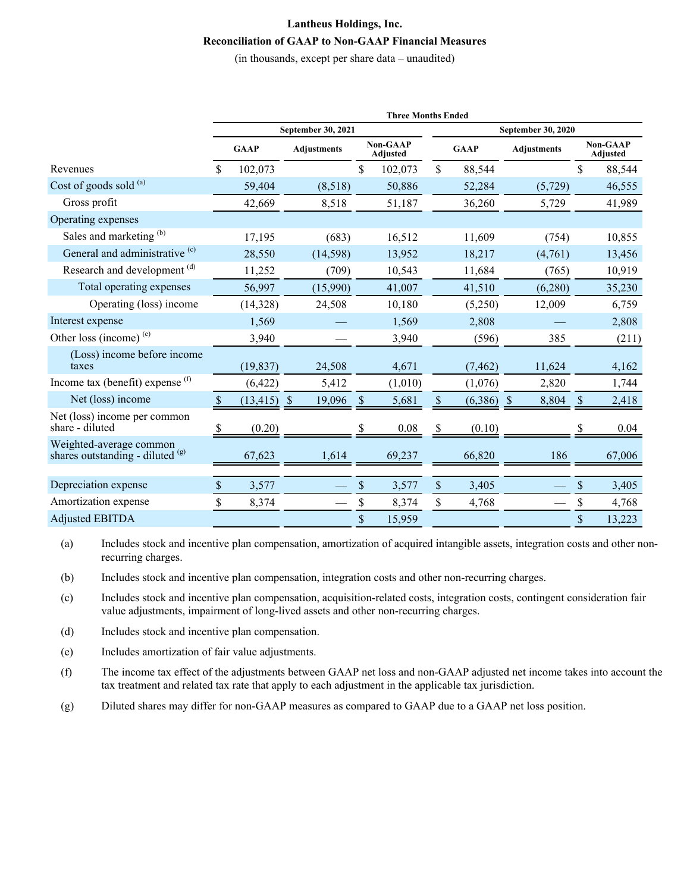## **Lantheus Holdings, Inc. Reconciliation of GAAP to Non-GAAP Financial Measures**

(in thousands, except per share data – unaudited)

|                                                             |               | <b>Three Months Ended</b>                       |                    |               |                             |              |             |                        |                                    |        |  |  |  |  |  |
|-------------------------------------------------------------|---------------|-------------------------------------------------|--------------------|---------------|-----------------------------|--------------|-------------|------------------------|------------------------------------|--------|--|--|--|--|--|
|                                                             |               | September 30, 2021<br><b>September 30, 2020</b> |                    |               |                             |              |             |                        |                                    |        |  |  |  |  |  |
|                                                             |               | <b>GAAP</b>                                     | <b>Adjustments</b> |               | <b>Non-GAAP</b><br>Adjusted |              | <b>GAAP</b> | <b>Adjustments</b>     | <b>Non-GAAP</b><br><b>Adjusted</b> |        |  |  |  |  |  |
| Revenues                                                    | \$<br>102,073 |                                                 |                    | \$            | 102,073                     | \$           | 88,544      |                        | \$                                 | 88,544 |  |  |  |  |  |
| Cost of goods sold (a)                                      |               | 59,404                                          | (8,518)            |               | 50,886                      |              | 52,284      | (5, 729)               |                                    | 46,555 |  |  |  |  |  |
| Gross profit                                                |               | 42,669                                          | 8,518              |               | 51,187                      |              | 36,260      | 5,729                  |                                    | 41,989 |  |  |  |  |  |
| Operating expenses                                          |               |                                                 |                    |               |                             |              |             |                        |                                    |        |  |  |  |  |  |
| Sales and marketing (b)                                     |               | 17,195                                          | (683)              |               | 16,512                      |              | 11,609      | (754)                  |                                    | 10,855 |  |  |  |  |  |
| General and administrative <sup>(c)</sup>                   |               | 28,550                                          | (14, 598)          |               | 13,952                      |              | 18,217      | (4,761)                |                                    | 13,456 |  |  |  |  |  |
| Research and development <sup>(d)</sup>                     |               | 11,252                                          | (709)              |               | 10,543                      |              | 11,684      | (765)                  |                                    | 10,919 |  |  |  |  |  |
| Total operating expenses                                    |               | 56,997                                          | (15,990)           |               | 41,007                      |              | 41,510      | (6,280)                |                                    | 35,230 |  |  |  |  |  |
| Operating (loss) income                                     |               | (14,328)                                        | 24,508             |               | 10,180                      |              | (5,250)     | 12,009                 |                                    | 6,759  |  |  |  |  |  |
| Interest expense                                            |               | 1,569                                           |                    |               | 1,569                       |              | 2,808       |                        |                                    | 2,808  |  |  |  |  |  |
| Other loss (income) $(e)$                                   |               | 3,940                                           |                    |               | 3,940                       |              | (596)       | 385                    |                                    | (211)  |  |  |  |  |  |
| (Loss) income before income<br>taxes                        |               | (19, 837)                                       | 24,508             |               | 4,671                       |              | (7, 462)    | 11,624                 |                                    | 4,162  |  |  |  |  |  |
| Income tax (benefit) expense $(f)$                          |               | (6,422)                                         | 5,412              |               | (1,010)                     |              | (1,076)     | 2,820                  |                                    | 1,744  |  |  |  |  |  |
| Net (loss) income                                           | <sup>S</sup>  | $(13, 415)$ \$                                  | 19,096             | $\mathcal{S}$ | 5,681                       | <sup>S</sup> | (6,386)     | 8,804<br>$\mathcal{S}$ | <sup>S</sup>                       | 2,418  |  |  |  |  |  |
| Net (loss) income per common<br>share - diluted             | S             | (0.20)                                          |                    |               | 0.08                        | S            | (0.10)      |                        |                                    | 0.04   |  |  |  |  |  |
| Weighted-average common<br>shares outstanding - diluted (g) |               | 67,623                                          | 1,614              |               | 69,237                      |              | 66,820      | 186                    |                                    | 67,006 |  |  |  |  |  |
|                                                             |               |                                                 |                    |               |                             |              |             |                        |                                    |        |  |  |  |  |  |
| Depreciation expense                                        | \$            | 3,577                                           |                    | \$            | 3,577                       | \$           | 3,405       |                        | \$                                 | 3,405  |  |  |  |  |  |
| Amortization expense                                        | \$            | 8,374                                           |                    | \$            | 8,374                       | \$           | 4,768       |                        | \$                                 | 4,768  |  |  |  |  |  |
| <b>Adjusted EBITDA</b>                                      |               |                                                 |                    | \$            | 15,959                      |              |             |                        | \$                                 | 13,223 |  |  |  |  |  |

(a) Includes stock and incentive plan compensation, amortization of acquired intangible assets, integration costs and other nonrecurring charges.

(b) Includes stock and incentive plan compensation, integration costs and other non-recurring charges.

- (c) Includes stock and incentive plan compensation, acquisition-related costs, integration costs, contingent consideration fair value adjustments, impairment of long-lived assets and other non-recurring charges.
- (d) Includes stock and incentive plan compensation.
- (e) Includes amortization of fair value adjustments.
- (f) The income tax effect of the adjustments between GAAP net loss and non-GAAP adjusted net income takes into account the tax treatment and related tax rate that apply to each adjustment in the applicable tax jurisdiction.
- (g) Diluted shares may differ for non-GAAP measures as compared to GAAP due to a GAAP net loss position.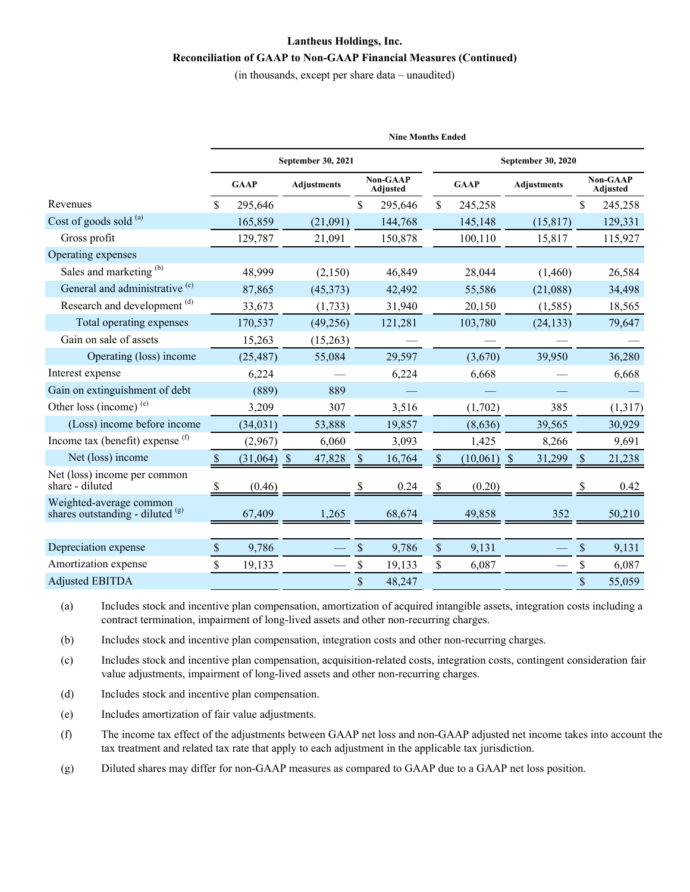## **Lantheus Holdings, Inc. Reconciliation of GAAP to Non-GAAP Financial Measures (Continued)**

(in thousands, except per share data – unaudited)

|                                                             |              | <b>Nine Months Ended</b> |                    |               |                                    |                           |               |                    |                             |         |  |  |  |  |  |
|-------------------------------------------------------------|--------------|--------------------------|--------------------|---------------|------------------------------------|---------------------------|---------------|--------------------|-----------------------------|---------|--|--|--|--|--|
|                                                             |              |                          | September 30, 2021 |               |                                    | <b>September 30, 2020</b> |               |                    |                             |         |  |  |  |  |  |
|                                                             |              | <b>GAAP</b>              | <b>Adjustments</b> |               | <b>Non-GAAP</b><br><b>Adjusted</b> |                           | <b>GAAP</b>   | <b>Adjustments</b> | <b>Non-GAAP</b><br>Adjusted |         |  |  |  |  |  |
| Revenues                                                    | \$           | 295,646                  |                    | \$            | 295,646                            | \$                        | 245,258       |                    | \$                          | 245,258 |  |  |  |  |  |
| Cost of goods sold (a)                                      |              | 165,859                  | (21,091)           |               | 144,768                            |                           | 145,148       | (15, 817)          |                             | 129,331 |  |  |  |  |  |
| Gross profit                                                |              | 129,787                  | 21,091             |               | 150,878                            |                           | 100,110       | 15,817             |                             | 115,927 |  |  |  |  |  |
| Operating expenses                                          |              |                          |                    |               |                                    |                           |               |                    |                             |         |  |  |  |  |  |
| Sales and marketing (b)                                     |              | 48,999                   | (2,150)            |               | 46,849                             |                           | 28,044        | (1,460)            |                             | 26,584  |  |  |  |  |  |
| General and administrative <sup>(c)</sup>                   |              | 87,865                   | (45,373)           |               | 42,492                             |                           | 55,586        | (21,088)           |                             | 34,498  |  |  |  |  |  |
| Research and development <sup>(d)</sup>                     |              | 33,673                   | (1, 733)           |               | 31,940                             |                           | 20,150        | (1, 585)           |                             | 18,565  |  |  |  |  |  |
| Total operating expenses                                    |              | 170,537                  | (49, 256)          |               | 121,281                            |                           | 103,780       | (24, 133)          |                             | 79,647  |  |  |  |  |  |
| Gain on sale of assets                                      |              | 15,263                   | (15,263)           |               |                                    |                           |               |                    |                             |         |  |  |  |  |  |
| Operating (loss) income                                     |              | (25, 487)                | 55,084             |               | 29,597                             |                           | (3,670)       | 39,950             |                             | 36,280  |  |  |  |  |  |
| Interest expense                                            |              | 6,224                    |                    |               | 6,224                              |                           | 6,668         |                    |                             | 6,668   |  |  |  |  |  |
| Gain on extinguishment of debt                              |              | (889)                    | 889                |               |                                    |                           |               |                    |                             |         |  |  |  |  |  |
| Other loss (income) $(e)$                                   |              | 3,209                    | 307                |               | 3,516                              |                           | (1,702)       | 385                |                             | (1,317) |  |  |  |  |  |
| (Loss) income before income                                 |              | (34, 031)                | 53,888             |               | 19,857                             |                           | (8,636)       | 39,565             |                             | 30,929  |  |  |  |  |  |
| Income tax (benefit) expense $(f)$                          |              | (2,967)                  | 6,060              |               | 3,093                              |                           | 1,425         | 8,266              |                             | 9,691   |  |  |  |  |  |
| Net (loss) income                                           | <sup>S</sup> | $(31,064)$ \$            | 47,828             | $\mathcal{S}$ | 16,764                             | <sup>\$</sup>             | $(10,061)$ \$ | 31,299             | <sup>S</sup>                | 21,238  |  |  |  |  |  |
| Net (loss) income per common<br>share - diluted             | S            | (0.46)                   |                    |               | 0.24                               | S                         | (0.20)        |                    |                             | 0.42    |  |  |  |  |  |
| Weighted-average common<br>shares outstanding - diluted (g) |              | 67,409                   | 1,265              |               | 68,674                             |                           | 49,858        | 352                |                             | 50,210  |  |  |  |  |  |
|                                                             |              |                          |                    |               |                                    |                           |               |                    |                             |         |  |  |  |  |  |
| Depreciation expense                                        | $\$$         | 9,786                    |                    | \$            | 9,786                              | $\mathbb S$               | 9,131         |                    | $\$$                        | 9,131   |  |  |  |  |  |
| Amortization expense                                        | \$           | 19,133                   |                    | \$            | 19,133                             | \$                        | 6,087         |                    | \$                          | 6,087   |  |  |  |  |  |
| <b>Adjusted EBITDA</b>                                      |              |                          |                    | \$            | 48,247                             |                           |               |                    | \$                          | 55,059  |  |  |  |  |  |

(a) Includes stock and incentive plan compensation, amortization of acquired intangible assets, integration costs including a contract termination, impairment of long-lived assets and other non-recurring charges.

(b) Includes stock and incentive plan compensation, integration costs and other non-recurring charges.

(c) Includes stock and incentive plan compensation, acquisition-related costs, integration costs, contingent consideration fair value adjustments, impairment of long-lived assets and other non-recurring charges.

(d) Includes stock and incentive plan compensation.

(e) Includes amortization of fair value adjustments.

(f) The income tax effect of the adjustments between GAAP net loss and non-GAAP adjusted net income takes into account the tax treatment and related tax rate that apply to each adjustment in the applicable tax jurisdiction.

(g) Diluted shares may differ for non-GAAP measures as compared to GAAP due to a GAAP net loss position.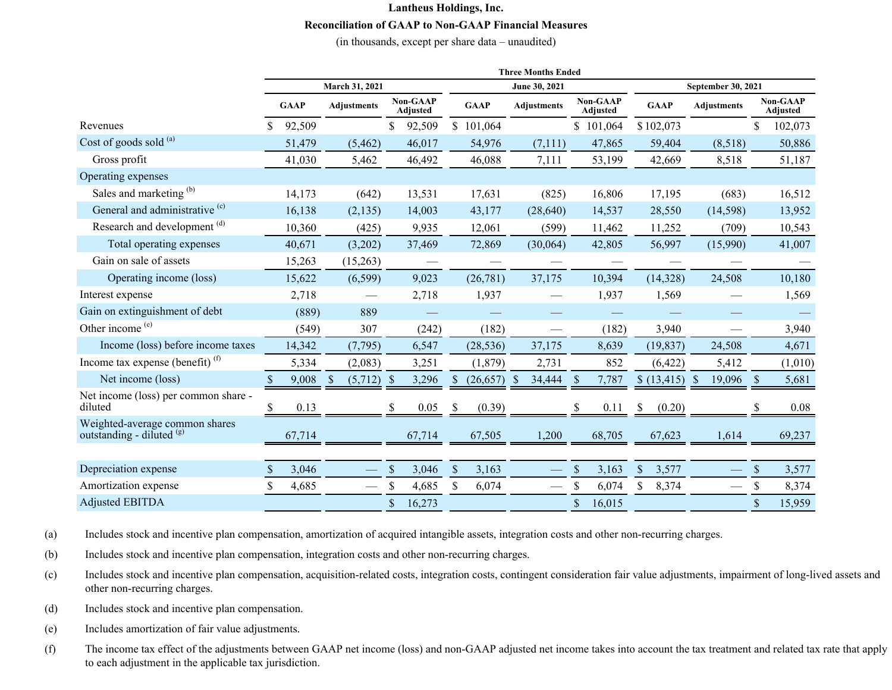## **Lantheus Holdings, Inc. Reconciliation of GAAP to Non-GAAP Financial Measures**

(in thousands, except per share data – unaudited)

|                                                             | <b>Three Months Ended</b> |        |                    |          |                                    |        |               |               |                    |                             |                                    |           |             |             |                    |           |                                    |         |  |
|-------------------------------------------------------------|---------------------------|--------|--------------------|----------|------------------------------------|--------|---------------|---------------|--------------------|-----------------------------|------------------------------------|-----------|-------------|-------------|--------------------|-----------|------------------------------------|---------|--|
|                                                             | March 31, 2021            |        |                    |          |                                    |        |               | June 30, 2021 |                    |                             |                                    |           |             |             | September 30, 2021 |           |                                    |         |  |
|                                                             | <b>GAAP</b>               |        | <b>Adjustments</b> |          | <b>Non-GAAP</b><br><b>Adjusted</b> |        | <b>GAAP</b>   |               | <b>Adjustments</b> |                             | <b>Non-GAAP</b><br><b>Adjusted</b> |           | <b>GAAP</b> |             | <b>Adjustments</b> |           | <b>Non-GAAP</b><br><b>Adjusted</b> |         |  |
| Revenues                                                    | \$.                       | 92,509 |                    |          | S.                                 | 92,509 |               | \$101,064     |                    |                             |                                    | \$101,064 |             | \$102,073   |                    |           | \$                                 | 102,073 |  |
| Cost of goods sold (a)                                      |                           | 51,479 |                    | (5, 462) |                                    | 46,017 |               | 54,976        |                    | (7,111)                     |                                    | 47,865    |             | 59,404      |                    | (8,518)   |                                    | 50,886  |  |
| Gross profit                                                |                           | 41,030 |                    | 5,462    |                                    | 46,492 |               | 46,088        |                    | 7,111                       |                                    | 53,199    |             | 42,669      |                    | 8,518     |                                    | 51,187  |  |
| Operating expenses                                          |                           |        |                    |          |                                    |        |               |               |                    |                             |                                    |           |             |             |                    |           |                                    |         |  |
| Sales and marketing (b)                                     |                           | 14,173 |                    | (642)    |                                    | 13,531 |               | 17,631        |                    | (825)                       |                                    | 16,806    |             | 17,195      |                    | (683)     |                                    | 16,512  |  |
| General and administrative <sup>(c)</sup>                   |                           | 16,138 |                    | (2,135)  |                                    | 14,003 |               | 43,177        |                    | (28, 640)                   |                                    | 14,537    |             | 28,550      |                    | (14, 598) |                                    | 13,952  |  |
| Research and development <sup>(d)</sup>                     |                           | 10,360 |                    | (425)    |                                    | 9,935  |               | 12,061        |                    | (599)                       |                                    | 11,462    |             | 11,252      |                    | (709)     |                                    | 10,543  |  |
| Total operating expenses                                    |                           | 40,671 |                    | (3,202)  |                                    | 37,469 |               | 72,869        |                    | (30,064)                    |                                    | 42,805    |             | 56,997      |                    | (15,990)  |                                    | 41,007  |  |
| Gain on sale of assets                                      |                           | 15,263 |                    | (15,263) |                                    |        |               |               |                    |                             |                                    |           |             |             |                    |           |                                    |         |  |
| Operating income (loss)                                     |                           | 15,622 |                    | (6, 599) |                                    | 9,023  |               | (26, 781)     |                    | 37,175                      |                                    | 10,394    |             | (14,328)    |                    | 24,508    |                                    | 10,180  |  |
| Interest expense                                            |                           | 2,718  |                    |          |                                    | 2,718  |               | 1,937         |                    |                             |                                    | 1,937     |             | 1,569       |                    |           |                                    | 1,569   |  |
| Gain on extinguishment of debt                              |                           | (889)  |                    | 889      |                                    |        |               |               |                    |                             |                                    |           |             |             |                    |           |                                    |         |  |
| Other income (e)                                            |                           | (549)  |                    | 307      |                                    | (242)  |               | (182)         |                    | $\overbrace{\hspace{15em}}$ |                                    | (182)     |             | 3,940       |                    |           |                                    | 3,940   |  |
| Income (loss) before income taxes                           |                           | 14,342 |                    | (7, 795) |                                    | 6,547  |               | (28, 536)     |                    | 37,175                      |                                    | 8,639     |             | (19, 837)   |                    | 24,508    |                                    | 4,671   |  |
| Income tax expense (benefit) $(f)$                          |                           | 5,334  |                    | (2,083)  |                                    | 3,251  |               | (1, 879)      |                    | 2,731                       |                                    | 852       |             | (6,422)     |                    | 5,412     |                                    | (1,010) |  |
| Net income (loss)                                           |                           | 9,008  | -S                 | (5,712)  | -S                                 | 3,296  |               | (26, 657)     |                    | 34,444                      | <sup>\$</sup>                      | 7,787     |             | \$(13, 415) | <sup>S</sup>       | 19,096    | <sup>S</sup>                       | 5,681   |  |
| Net income (loss) per common share -<br>diluted             | У,                        | 0.13   |                    |          |                                    | 0.05   | \$            | (0.39)        |                    |                             |                                    | 0.11      | S,          | (0.20)      |                    |           |                                    | 0.08    |  |
| Weighted-average common shares<br>outstanding - diluted (g) |                           | 67,714 |                    |          |                                    | 67,714 |               | 67,505        |                    | 1,200                       |                                    | 68,705    |             | 67,623      |                    | 1,614     |                                    | 69,237  |  |
|                                                             |                           |        |                    |          |                                    |        |               |               |                    |                             |                                    |           |             |             |                    |           |                                    |         |  |
| Depreciation expense                                        |                           | 3,046  |                    |          | \$                                 | 3,046  | $\mathcal{S}$ | 3,163         |                    |                             | \$                                 | 3,163     | \$          | 3,577       |                    |           | \$                                 | 3,577   |  |
| Amortization expense                                        | \$.                       | 4,685  |                    |          |                                    | 4,685  | \$            | 6,074         |                    | $\qquad \qquad$             | \$                                 | 6,074     | \$          | 8,374       |                    |           | \$                                 | 8,374   |  |
| <b>Adjusted EBITDA</b>                                      |                           |        |                    |          | $\mathcal{S}$                      | 16,273 |               |               |                    |                             | \$                                 | 16,015    |             |             |                    |           | \$                                 | 15,959  |  |

(a) Includes stock and incentive plan compensation, amortization of acquired intangible assets, integration costs and other non-recurring charges.

(b) Includes stock and incentive plan compensation, integration costs and other non-recurring charges.

- (c) Includes stock and incentive plan compensation, acquisition-related costs, integration costs, contingent consideration fair value adjustments, impairment of long-lived assets and other non-recurring charges.
- (d) Includes stock and incentive plan compensation.
- (e) Includes amortization of fair value adjustments.
- (f) The income tax effect of the adjustments between GAAP net income (loss) and non-GAAP adjusted net income takes into account the tax treatment and related tax rate that apply to each adjustment in the applicable tax jurisdiction.